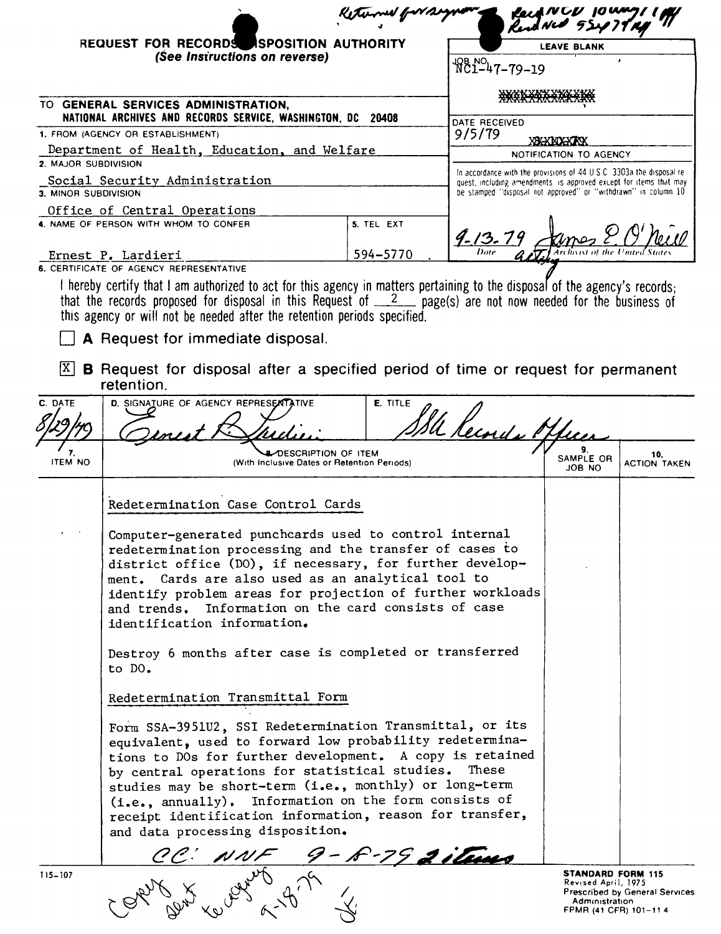| $1NUV$ 10 um<br>Read New 5547914                                                                                                                                                                                                                                                                                        |                                                                                                                                                                                                                                                                                                                                                                                                                                                             |                  |                                                                                                                                                         |                                                                                     |                                |  |  |
|-------------------------------------------------------------------------------------------------------------------------------------------------------------------------------------------------------------------------------------------------------------------------------------------------------------------------|-------------------------------------------------------------------------------------------------------------------------------------------------------------------------------------------------------------------------------------------------------------------------------------------------------------------------------------------------------------------------------------------------------------------------------------------------------------|------------------|---------------------------------------------------------------------------------------------------------------------------------------------------------|-------------------------------------------------------------------------------------|--------------------------------|--|--|
| Isposition authority<br><b>REQUEST FOR RECORDS</b>                                                                                                                                                                                                                                                                      |                                                                                                                                                                                                                                                                                                                                                                                                                                                             |                  |                                                                                                                                                         |                                                                                     |                                |  |  |
|                                                                                                                                                                                                                                                                                                                         | (See Instructions on reverse)                                                                                                                                                                                                                                                                                                                                                                                                                               |                  | <b>LEAVE BLANK</b><br>108 NO47-79-19                                                                                                                    |                                                                                     |                                |  |  |
|                                                                                                                                                                                                                                                                                                                         | TO GENERAL SERVICES ADMINISTRATION,                                                                                                                                                                                                                                                                                                                                                                                                                         |                  |                                                                                                                                                         |                                                                                     |                                |  |  |
| NATIONAL ARCHIVES AND RECORDS SERVICE, WASHINGTON, DC 20408                                                                                                                                                                                                                                                             |                                                                                                                                                                                                                                                                                                                                                                                                                                                             |                  | <b>DATE RECEIVED</b>                                                                                                                                    |                                                                                     |                                |  |  |
| 1. FROM (AGENCY OR ESTABLISHMENT)<br>9/5/79                                                                                                                                                                                                                                                                             |                                                                                                                                                                                                                                                                                                                                                                                                                                                             |                  |                                                                                                                                                         |                                                                                     |                                |  |  |
| Department of Health, Education, and Welfare<br>2. MAJOR SUBDIVISION                                                                                                                                                                                                                                                    |                                                                                                                                                                                                                                                                                                                                                                                                                                                             |                  | NOTIFICATION TO AGENCY                                                                                                                                  |                                                                                     |                                |  |  |
| Social Security Administration                                                                                                                                                                                                                                                                                          |                                                                                                                                                                                                                                                                                                                                                                                                                                                             |                  | In accordance with the provisions of $44 \cup S \subseteq 3303$ ather disposal re-<br>quest, including amendments is approved except for items that may |                                                                                     |                                |  |  |
| 3. MINOR SUBDIVISION                                                                                                                                                                                                                                                                                                    |                                                                                                                                                                                                                                                                                                                                                                                                                                                             |                  | be stamped "disposal not approved" or "withdrawn" in column 10                                                                                          |                                                                                     |                                |  |  |
| Office of Central Operations                                                                                                                                                                                                                                                                                            |                                                                                                                                                                                                                                                                                                                                                                                                                                                             |                  |                                                                                                                                                         |                                                                                     |                                |  |  |
|                                                                                                                                                                                                                                                                                                                         | 4. NAME OF PERSON WITH WHOM TO CONFER                                                                                                                                                                                                                                                                                                                                                                                                                       | 5. TEL EXT       |                                                                                                                                                         |                                                                                     |                                |  |  |
|                                                                                                                                                                                                                                                                                                                         | Ernest P. Lardieri                                                                                                                                                                                                                                                                                                                                                                                                                                          | 594-5770         | $9 - 13 - 79$                                                                                                                                           |                                                                                     |                                |  |  |
| 6. CERTIFICATE OF AGENCY REPRESENTATIVE                                                                                                                                                                                                                                                                                 |                                                                                                                                                                                                                                                                                                                                                                                                                                                             |                  |                                                                                                                                                         |                                                                                     |                                |  |  |
| I hereby certify that I am authorized to act for this agency in matters pertaining to the disposal of the agency's records;<br>that the records proposed for disposal in this Request of $2$ page(s) are not now needed for the business of<br>this agency or will not be needed after the retention periods specified. |                                                                                                                                                                                                                                                                                                                                                                                                                                                             |                  |                                                                                                                                                         |                                                                                     |                                |  |  |
| A Request for immediate disposal.                                                                                                                                                                                                                                                                                       |                                                                                                                                                                                                                                                                                                                                                                                                                                                             |                  |                                                                                                                                                         |                                                                                     |                                |  |  |
| X                                                                                                                                                                                                                                                                                                                       | <b>B</b> Request for disposal after a specified period of time or request for permanent<br>retention.                                                                                                                                                                                                                                                                                                                                                       |                  |                                                                                                                                                         |                                                                                     |                                |  |  |
| C. DATE                                                                                                                                                                                                                                                                                                                 | D. SIGNATURE OF AGENCY REPRESENTATIVE                                                                                                                                                                                                                                                                                                                                                                                                                       | E. TITLE         |                                                                                                                                                         |                                                                                     |                                |  |  |
|                                                                                                                                                                                                                                                                                                                         |                                                                                                                                                                                                                                                                                                                                                                                                                                                             |                  | 1. Kecuda                                                                                                                                               |                                                                                     |                                |  |  |
| <b>ITEM NO</b>                                                                                                                                                                                                                                                                                                          | DESCRIPTION OF ITEM<br>(With Inclusive Dates or Retention Periods)                                                                                                                                                                                                                                                                                                                                                                                          |                  |                                                                                                                                                         | SAMPLE OR<br>JOB NO                                                                 | 10.<br><b>ACTION TAKEN</b>     |  |  |
|                                                                                                                                                                                                                                                                                                                         | Redetermination Case Control Cards                                                                                                                                                                                                                                                                                                                                                                                                                          |                  |                                                                                                                                                         |                                                                                     |                                |  |  |
|                                                                                                                                                                                                                                                                                                                         | Computer-generated punchcards used to control internal<br>redetermination processing and the transfer of cases to<br>district office $(DO)$ , if necessary, for further develop-<br>ment. Cards are also used as an analytical tool to<br>identify problem areas for projection of further workloads<br>and trends. Information on the card consists of case<br>identification information.                                                                 |                  |                                                                                                                                                         |                                                                                     |                                |  |  |
|                                                                                                                                                                                                                                                                                                                         | Destroy 6 months after case is completed or transferred<br>to DO.                                                                                                                                                                                                                                                                                                                                                                                           |                  |                                                                                                                                                         |                                                                                     |                                |  |  |
|                                                                                                                                                                                                                                                                                                                         | Redetermination Transmittal Form                                                                                                                                                                                                                                                                                                                                                                                                                            |                  |                                                                                                                                                         |                                                                                     |                                |  |  |
|                                                                                                                                                                                                                                                                                                                         | Form SSA-3951U2, SSI Redetermination Transmittal, or its<br>equivalent, used to forward low probability redetermina-<br>tions to DOs for further development. A copy is retained<br>by central operations for statistical studies. These<br>studies may be short-term (i.e., monthly) or long-term<br>(i.e., annually). Information on the form consists of<br>receipt identification information, reason for transfer,<br>and data processing disposition. |                  |                                                                                                                                                         |                                                                                     |                                |  |  |
|                                                                                                                                                                                                                                                                                                                         |                                                                                                                                                                                                                                                                                                                                                                                                                                                             | 9 - 5-79 2 itams |                                                                                                                                                         |                                                                                     |                                |  |  |
| $115 - 107$                                                                                                                                                                                                                                                                                                             |                                                                                                                                                                                                                                                                                                                                                                                                                                                             |                  |                                                                                                                                                         | STANDARD FORM 115<br>Revised April, 1975<br>Administration<br>FPMR (41 CFR) 101-114 | Prescribed by General Services |  |  |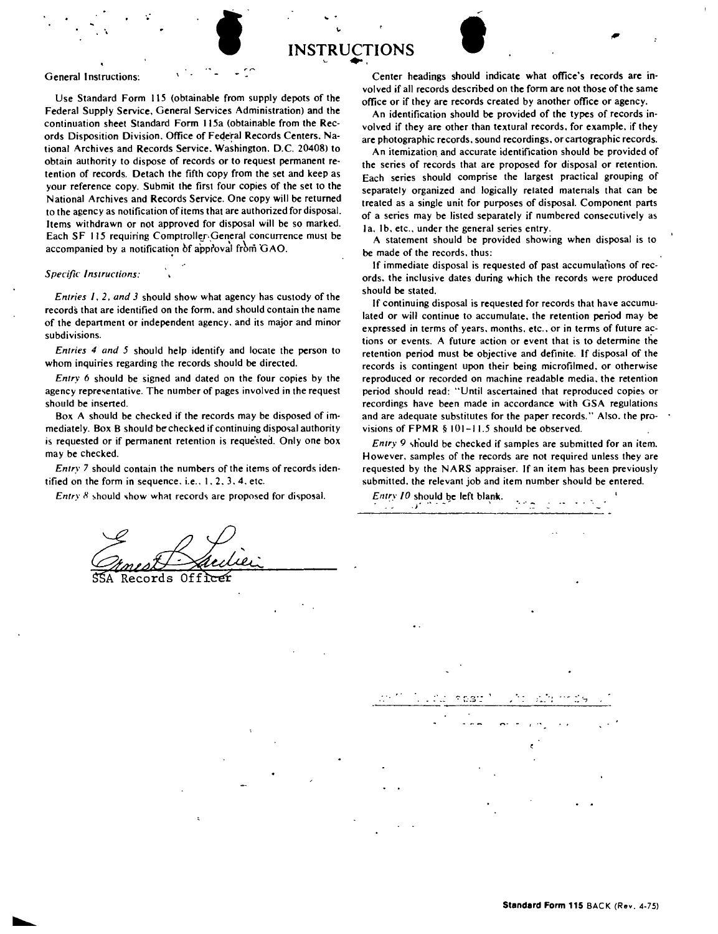## **INSTRUCTION**

. .. .-

## General Instructions:

"

Use Standard Form 115 (obtainable from supply depots of the Federal Supply Service, General Services Administration) and the continuation sheet Standard Form 115a (obtainable from the Records Disposition Division. Office of Federal Records Centers. National Archives and Records Service. Washington. D.C. 20408) to obtain authority to dispose of records or to request permanent retention of records. Detach the fifth copy from the set and keep as your reference copy. Submit the first four copies of the set to the National Archives and Records Service. One copy will be returned to the agency as notification of items that are authorized for disposal. Items withdrawn or not approved for disposal will be so marked. Each SF 115 requiring Comptroller General concurrence must be accompanied by a notification of approval from GAO.

## *Specific Instructions:*

*Entries I.* 2, *and* 3 should show what agency has custody of the records that are identified on the form. and should contain the name of the department or independent agency. and its major and minor subdivisions.

*Entries* 4 *and* 5 should help identify and locate the person to whom inquiries regarding the records should be directed.

*Entry* 6 should be signed and dated on the four copies by the agency representative. The number of pages involved in the request should be inserted.

Box A should be checked if the records may be disposed of immediately. Box B should be checked if continuing disposal authority is requested or if permanent retention is requested. Only one box may be checked.

*Entry* 7 should contain the numbers of the items of records identified on the form in sequence. i.e.. 1.2.3.4. etc.

*Entry* 8 should show what records are proposed for disposal.

Records Officer

Center headings should **example**<br> **b**<br> **ould** inescribed indicate what office's records are involved if all records described on the form are not those of the same office or if they are records created by another office or agency.

An identification should be provided of the types of records involved if they are other than textural records. for example. if they are photographic records. sound recordings. or cartographic records.

An itemization and accurate identification should be provided of the series of records that are proposed for disposal or retention. Each series should comprise the largest practical grouping of separately organized and logically related matenals that can be treated as a single unit for purposes of disposal. Component parts of a series may be listed separately if numbered consecutively as la. 1b. etc., under the general series entry.

A statement should be provided showing when disposal is to be made of the records. thus:

If immediate disposal is requested of past accumulations of records. the inclusive dates during which the records were produced should be stated.

If continuing disposal is requested for records that have accumulated or will continue to accumulate. the retention period may be expressed in terms of years. months. etc., or in terms of future actions or events. A future action or event that is to determine the retention period must be objective and definite. If disposal of the records is contingent upon their being microfilmed. or otherwise reproduced or recorded on machine readable media. the retention period should read: "Until ascertained that reproduced copies or recordings have been made in accordance with GSA regulations and are adequate substitutes for the paper records." Also. the provisions of FPMR § 101-11.5 should be observed.

*Entry* 9 should be checked if samples are submitted for an item. However. samples of the records are not required unless they are requested by the NARS appraiser. If an item has been previously submitted. the relevant job and item number should be entered.

 $, \, \cdot$ 

*Entry* 10 should be left blank. .J